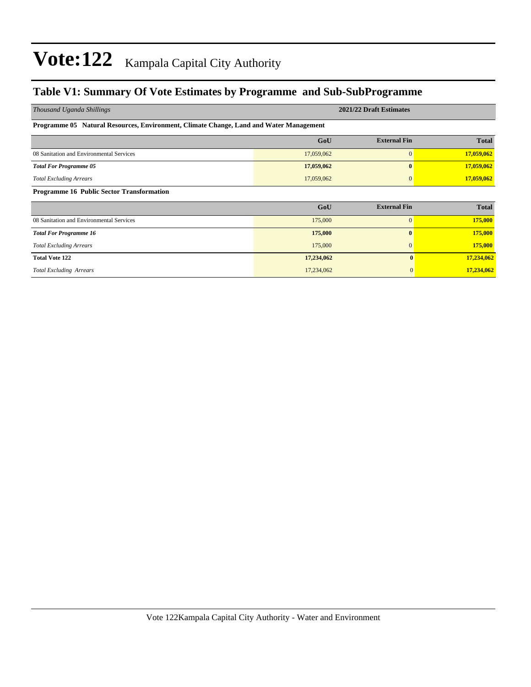### **Table V1: Summary Of Vote Estimates by Programme and Sub-SubProgramme**

| Thousand Uganda Shillings                                                              | 2021/22 Draft Estimates |                     |              |  |  |  |  |  |  |  |
|----------------------------------------------------------------------------------------|-------------------------|---------------------|--------------|--|--|--|--|--|--|--|
| Programme 05 Natural Resources, Environment, Climate Change, Land and Water Management |                         |                     |              |  |  |  |  |  |  |  |
|                                                                                        | GoU                     | <b>External Fin</b> | <b>Total</b> |  |  |  |  |  |  |  |
| 08 Sanitation and Environmental Services                                               | 17,059,062              | $\mathbf{0}$        | 17,059,062   |  |  |  |  |  |  |  |
| <b>Total For Programme 05</b>                                                          | 17,059,062              | $\mathbf{0}$        | 17,059,062   |  |  |  |  |  |  |  |
| <b>Total Excluding Arrears</b>                                                         | 17,059,062              | 0                   | 17,059,062   |  |  |  |  |  |  |  |
| <b>Programme 16 Public Sector Transformation</b>                                       |                         |                     |              |  |  |  |  |  |  |  |
|                                                                                        | GoU                     | <b>External Fin</b> | <b>Total</b> |  |  |  |  |  |  |  |
| 08 Sanitation and Environmental Services                                               | 175,000                 | $\mathbf{0}$        | 175,000      |  |  |  |  |  |  |  |
| <b>Total For Programme 16</b>                                                          | 175,000                 | $\mathbf{0}$        | 175,000      |  |  |  |  |  |  |  |
| <b>Total Excluding Arrears</b>                                                         | 175,000                 | $\mathbf{0}$        | 175,000      |  |  |  |  |  |  |  |
| <b>Total Vote 122</b>                                                                  | 17,234,062              | $\mathbf{0}$        | 17,234,062   |  |  |  |  |  |  |  |
| <b>Total Excluding Arrears</b>                                                         | 17,234,062              | $\mathbf{0}$        | 17,234,062   |  |  |  |  |  |  |  |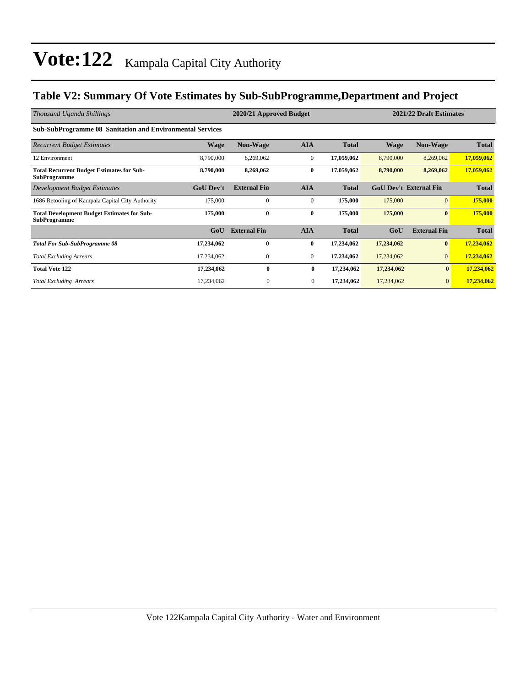### **Table V2: Summary Of Vote Estimates by Sub-SubProgramme,Department and Project**

| Thousand Uganda Shillings                                                 | 2020/21 Approved Budget |                     |              |              |                               | 2021/22 Draft Estimates |              |  |
|---------------------------------------------------------------------------|-------------------------|---------------------|--------------|--------------|-------------------------------|-------------------------|--------------|--|
| <b>Sub-SubProgramme 08 Sanitation and Environmental Services</b>          |                         |                     |              |              |                               |                         |              |  |
| <b>Recurrent Budget Estimates</b>                                         | <b>Wage</b>             | <b>Non-Wage</b>     | <b>AIA</b>   | <b>Total</b> | Wage                          | <b>Non-Wage</b>         | <b>Total</b> |  |
| 12 Environment                                                            | 8,790,000               | 8,269,062           | $\mathbf{0}$ | 17,059,062   | 8,790,000                     | 8,269,062               | 17,059,062   |  |
| <b>Total Recurrent Budget Estimates for Sub-</b><br><b>SubProgramme</b>   | 8,790,000               | 8,269,062           | $\bf{0}$     | 17,059,062   | 8,790,000                     | 8,269,062               | 17,059,062   |  |
| Development Budget Estimates                                              | <b>GoU Dev't</b>        | <b>External Fin</b> | <b>AIA</b>   | <b>Total</b> | <b>GoU Dev't External Fin</b> |                         | <b>Total</b> |  |
| 1686 Retooling of Kampala Capital City Authority                          | 175,000                 | $\mathbf{0}$        | $\mathbf{0}$ | 175,000      | 175,000                       | $\overline{0}$          | 175,000      |  |
| <b>Total Development Budget Estimates for Sub-</b><br><b>SubProgramme</b> | 175,000                 | $\bf{0}$            | $\bf{0}$     | 175,000      | 175,000                       | $\bf{0}$                | 175,000      |  |
|                                                                           | GoU                     | <b>External Fin</b> | <b>AIA</b>   | <b>Total</b> | GoU                           | <b>External Fin</b>     | <b>Total</b> |  |
| <b>Total For Sub-SubProgramme 08</b>                                      | 17,234,062              | 0                   | $\bf{0}$     | 17,234,062   | 17,234,062                    | $\bf{0}$                | 17,234,062   |  |
| <b>Total Excluding Arrears</b>                                            | 17,234,062              | $\mathbf{0}$        | $\mathbf{0}$ | 17,234,062   | 17,234,062                    | $\overline{0}$          | 17,234,062   |  |
| <b>Total Vote 122</b>                                                     | 17,234,062              | $\mathbf{0}$        | $\bf{0}$     | 17,234,062   | 17,234,062                    | $\bf{0}$                | 17,234,062   |  |
| <b>Total Excluding Arrears</b>                                            | 17,234,062              | $\boldsymbol{0}$    | $\mathbf{0}$ | 17,234,062   | 17,234,062                    | $\mathbf{0}$            | 17,234,062   |  |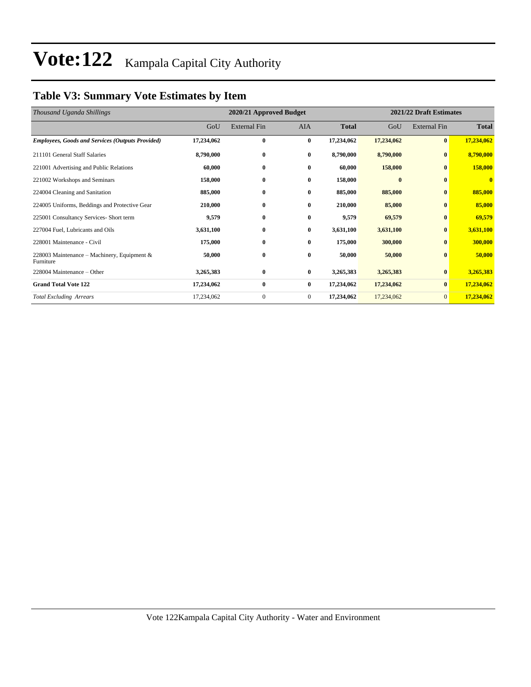### **Table V3: Summary Vote Estimates by Item**

| Thousand Uganda Shillings                                |            | 2020/21 Approved Budget |              |              |            | 2021/22 Draft Estimates |              |  |  |
|----------------------------------------------------------|------------|-------------------------|--------------|--------------|------------|-------------------------|--------------|--|--|
|                                                          | GoU        | <b>External Fin</b>     | <b>AIA</b>   | <b>Total</b> | GoU        | <b>External Fin</b>     | <b>Total</b> |  |  |
| <b>Employees, Goods and Services (Outputs Provided)</b>  | 17,234,062 | $\bf{0}$                | $\bf{0}$     | 17,234,062   | 17,234,062 | $\bf{0}$                | 17,234,062   |  |  |
| 211101 General Staff Salaries                            | 8,790,000  | $\bf{0}$                | $\bf{0}$     | 8,790,000    | 8,790,000  | $\bf{0}$                | 8,790,000    |  |  |
| 221001 Advertising and Public Relations                  | 60,000     | $\bf{0}$                | $\bf{0}$     | 60,000       | 158,000    | $\mathbf{0}$            | 158,000      |  |  |
| 221002 Workshops and Seminars                            | 158,000    | $\bf{0}$                | $\bf{0}$     | 158,000      | $\bf{0}$   | $\bf{0}$                | $\mathbf{0}$ |  |  |
| 224004 Cleaning and Sanitation                           | 885,000    | $\bf{0}$                | $\bf{0}$     | 885,000      | 885,000    | $\bf{0}$                | 885,000      |  |  |
| 224005 Uniforms, Beddings and Protective Gear            | 210,000    | $\bf{0}$                | $\bf{0}$     | 210,000      | 85,000     | $\bf{0}$                | 85,000       |  |  |
| 225001 Consultancy Services- Short term                  | 9,579      | $\bf{0}$                | $\bf{0}$     | 9,579        | 69,579     | $\bf{0}$                | 69,579       |  |  |
| 227004 Fuel, Lubricants and Oils                         | 3,631,100  | $\bf{0}$                | $\bf{0}$     | 3,631,100    | 3,631,100  | $\bf{0}$                | 3,631,100    |  |  |
| 228001 Maintenance - Civil                               | 175,000    | 0                       | $\bf{0}$     | 175,000      | 300,000    | $\bf{0}$                | 300,000      |  |  |
| 228003 Maintenance – Machinery, Equipment &<br>Furniture | 50,000     | $\bf{0}$                | $\bf{0}$     | 50,000       | 50,000     | $\mathbf{0}$            | 50,000       |  |  |
| 228004 Maintenance – Other                               | 3,265,383  | $\bf{0}$                | $\bf{0}$     | 3,265,383    | 3,265,383  | $\mathbf{0}$            | 3,265,383    |  |  |
| <b>Grand Total Vote 122</b>                              | 17,234,062 | $\bf{0}$                | $\bf{0}$     | 17,234,062   | 17,234,062 | $\bf{0}$                | 17,234,062   |  |  |
| <b>Total Excluding Arrears</b>                           | 17,234,062 | $\boldsymbol{0}$        | $\mathbf{0}$ | 17,234,062   | 17,234,062 | $\mathbf{0}$            | 17,234,062   |  |  |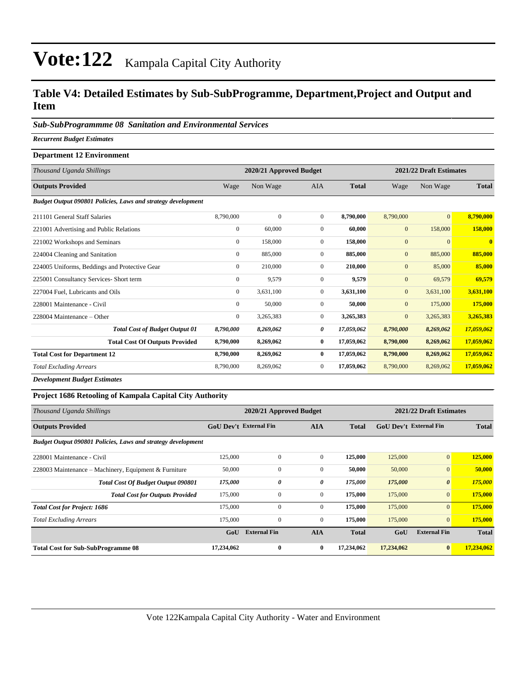#### **Table V4: Detailed Estimates by Sub-SubProgramme, Department,Project and Output and Item**

#### *Sub-SubProgrammme 08 Sanitation and Environmental Services*

*Recurrent Budget Estimates*

#### **Department 12 Environment**

| Thousand Uganda Shillings                                    |                | 2020/21 Approved Budget |              |              | 2021/22 Draft Estimates |                |                |  |
|--------------------------------------------------------------|----------------|-------------------------|--------------|--------------|-------------------------|----------------|----------------|--|
| <b>Outputs Provided</b>                                      | Wage           | Non Wage                | <b>AIA</b>   | <b>Total</b> | Wage                    | Non Wage       | <b>Total</b>   |  |
| Budget Output 090801 Policies, Laws and strategy development |                |                         |              |              |                         |                |                |  |
| 211101 General Staff Salaries                                | 8,790,000      | $\mathbf{0}$            | $\mathbf{0}$ | 8,790,000    | 8,790,000               | $\overline{0}$ | 8,790,000      |  |
| 221001 Advertising and Public Relations                      | $\mathbf{0}$   | 60,000                  | $\mathbf{0}$ | 60,000       | $\mathbf{0}$            | 158,000        | 158,000        |  |
| 221002 Workshops and Seminars                                | $\overline{0}$ | 158,000                 | $\mathbf{0}$ | 158,000      | $\boldsymbol{0}$        | $\Omega$       | $\overline{0}$ |  |
| 224004 Cleaning and Sanitation                               | $\mathbf{0}$   | 885,000                 | $\mathbf{0}$ | 885,000      | $\mathbf{0}$            | 885,000        | 885,000        |  |
| 224005 Uniforms, Beddings and Protective Gear                | $\mathbf{0}$   | 210,000                 | $\mathbf{0}$ | 210,000      | $\mathbf{0}$            | 85,000         | 85,000         |  |
| 225001 Consultancy Services- Short term                      | $\Omega$       | 9,579                   | $\Omega$     | 9,579        | $\mathbf{0}$            | 69,579         | 69,579         |  |
| 227004 Fuel, Lubricants and Oils                             | $\mathbf{0}$   | 3,631,100               | $\mathbf{0}$ | 3,631,100    | $\mathbf{0}$            | 3,631,100      | 3,631,100      |  |
| 228001 Maintenance - Civil                                   | $\mathbf{0}$   | 50,000                  | $\mathbf{0}$ | 50,000       | $\overline{0}$          | 175,000        | 175,000        |  |
| 228004 Maintenance – Other                                   | $\overline{0}$ | 3,265,383               | $\mathbf{0}$ | 3,265,383    | $\mathbf{0}$            | 3,265,383      | 3,265,383      |  |
| <b>Total Cost of Budget Output 01</b>                        | 8,790,000      | 8,269,062               | 0            | 17,059,062   | 8,790,000               | 8,269,062      | 17,059,062     |  |
| <b>Total Cost Of Outputs Provided</b>                        | 8,790,000      | 8,269,062               | $\bf{0}$     | 17,059,062   | 8,790,000               | 8,269,062      | 17,059,062     |  |
| <b>Total Cost for Department 12</b>                          | 8,790,000      | 8,269,062               | $\bf{0}$     | 17,059,062   | 8,790,000               | 8,269,062      | 17,059,062     |  |
| <b>Total Excluding Arrears</b>                               | 8,790,000      | 8,269,062               | $\mathbf{0}$ | 17,059,062   | 8,790,000               | 8,269,062      | 17,059,062     |  |
|                                                              |                |                         |              |              |                         |                |                |  |

*Development Budget Estimates*

#### **Project 1686 Retooling of Kampala Capital City Authority**

| Thousand Uganda Shillings                                    |                               | 2020/21 Approved Budget |                | 2021/22 Draft Estimates |                               |                       |              |
|--------------------------------------------------------------|-------------------------------|-------------------------|----------------|-------------------------|-------------------------------|-----------------------|--------------|
| <b>Outputs Provided</b>                                      | <b>GoU Dev't External Fin</b> |                         | <b>AIA</b>     | <b>Total</b>            | <b>GoU Dev't External Fin</b> |                       | <b>Total</b> |
| Budget Output 090801 Policies, Laws and strategy development |                               |                         |                |                         |                               |                       |              |
| 228001 Maintenance - Civil                                   | 125,000                       | $\Omega$                | $\overline{0}$ | 125,000                 | 125,000                       | $\mathbf{0}$          | 125,000      |
| 228003 Maintenance – Machinery, Equipment & Furniture        | 50,000                        | 0                       | $\mathbf{0}$   | 50,000                  | 50,000                        | $\overline{0}$        | 50,000       |
| <b>Total Cost Of Budget Output 090801</b>                    | 175,000                       | 0                       | 0              | 175,000                 | 175,000                       | $\boldsymbol{\theta}$ | 175,000      |
| <b>Total Cost for Outputs Provided</b>                       | 175,000                       | 0                       | $\mathbf{0}$   | 175,000                 | 175,000                       | $\mathbf{0}$          | 175,000      |
| <b>Total Cost for Project: 1686</b>                          | 175,000                       | $\mathbf{0}$            | $\overline{0}$ | 175,000                 | 175,000                       | $\overline{0}$        | 175,000      |
| <b>Total Excluding Arrears</b>                               | 175,000                       | $\mathbf{0}$            | $\mathbf{0}$   | 175,000                 | 175,000                       | $\overline{0}$        | 175,000      |
|                                                              | GoU                           | <b>External Fin</b>     | <b>AIA</b>     | <b>Total</b>            | GoU                           | <b>External Fin</b>   | <b>Total</b> |
| <b>Total Cost for Sub-SubProgramme 08</b>                    | 17,234,062                    | $\bf{0}$                | $\bf{0}$       | 17,234,062              | 17,234,062                    | $\bf{0}$              | 17,234,062   |